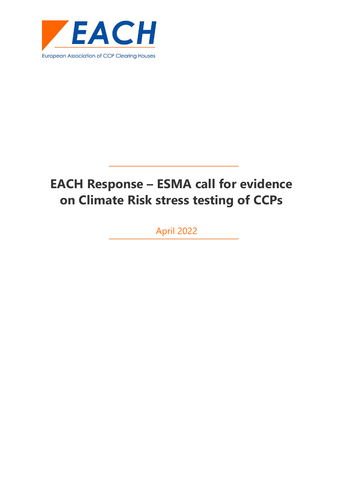

# **EACH Response – ESMA call for evidence on Climate Risk stress testing of CCPs**

April 2022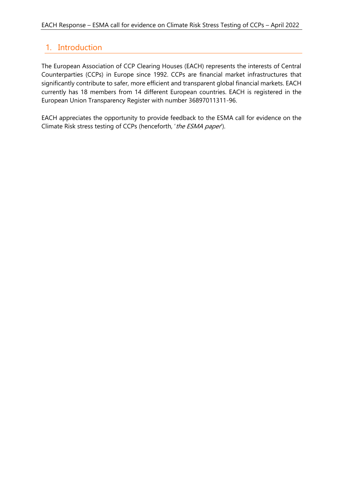# 1. Introduction

The European Association of CCP Clearing Houses (EACH) represents the interests of Central Counterparties (CCPs) in Europe since 1992. CCPs are financial market infrastructures that significantly contribute to safer, more efficient and transparent global financial markets. EACH currently has 18 members from 14 different European countries. EACH is registered in the European Union Transparency Register with number 36897011311-96.

EACH appreciates the opportunity to provide feedback to the ESMA call for evidence on the Climate Risk stress testing of CCPs (henceforth, 'the ESMA paper').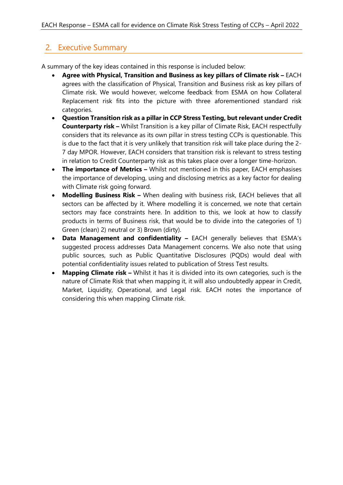# 2. Executive Summary

A summary of the key ideas contained in this response is included below:

- **Agree with Physical, Transition and Business as key pillars of Climate risk –** EACH agrees with the classification of Physical, Transition and Business risk as key pillars of Climate risk. We would however, welcome feedback from ESMA on how Collateral Replacement risk fits into the picture with three aforementioned standard risk categories.
- **Question Transition risk as a pillar in CCP Stress Testing, but relevant under Credit Counterparty risk –** Whilst Transition is a key pillar of Climate Risk, EACH respectfully considers that its relevance as its own pillar in stress testing CCPs is questionable. This is due to the fact that it is very unlikely that transition risk will take place during the 2- 7 day MPOR. However, EACH considers that transition risk is relevant to stress testing in relation to Credit Counterparty risk as this takes place over a longer time-horizon.
- **The importance of Metrics –** Whilst not mentioned in this paper, EACH emphasises the importance of developing, using and disclosing metrics as a key factor for dealing with Climate risk going forward.
- **Modelling Business Risk –** When dealing with business risk, EACH believes that all sectors can be affected by it. Where modelling it is concerned, we note that certain sectors may face constraints here. In addition to this, we look at how to classify products in terms of Business risk, that would be to divide into the categories of 1) Green (clean) 2) neutral or 3) Brown (dirty).
- **Data Management and confidentiality –** EACH generally believes that ESMA's suggested process addresses Data Management concerns. We also note that using public sources, such as Public Quantitative Disclosures (PQDs) would deal with potential confidentiality issues related to publication of Stress Test results.
- **Mapping Climate risk –** Whilst it has it is divided into its own categories, such is the nature of Climate Risk that when mapping it, it will also undoubtedly appear in Credit, Market, Liquidity, Operational, and Legal risk. EACH notes the importance of considering this when mapping Climate risk.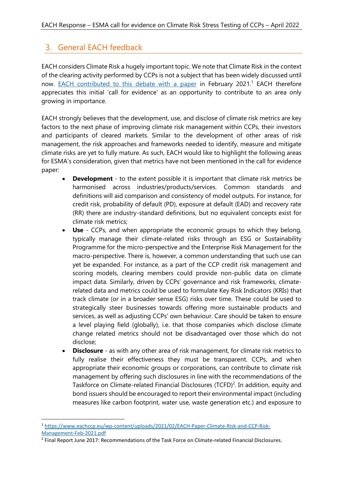# 3. General EACH feedback

EACH considers Climate Risk a hugely important topic. We note that Climate Risk in the context of the clearing activity performed by CCPs is not a subject that has been widely discussed until now. **EACH** contributed to this debate with a paper in February 2021.<sup>1</sup> EACH therefore appreciates this initial 'call for evidence' as an opportunity to contribute to an area only growing in importance.

EACH strongly believes that the development, use, and disclose of climate risk metrics are key factors to the next phase of improving climate risk management within CCPs, their investors and participants of cleared markets. Similar to the development of other areas of risk management, the risk approaches and frameworks needed to identify, measure and mitigate climate risks are yet to fully mature. As such, EACH would like to highlight the following areas for ESMA's consideration, given that metrics have not been mentioned in the call for evidence paper:

- **Development** to the extent possible it is important that climate risk metrics be harmonised across industries/products/services. Common standards and definitions will aid comparison and consistency of model outputs. For instance, for credit risk, probability of default (PD), exposure at default (EAD) and recovery rate (RR) there are industry-standard definitions, but no equivalent concepts exist for climate risk metrics;
- **Use** CCPs, and when appropriate the economic groups to which they belong, typically manage their climate-related risks through an ESG or Sustainability Programme for the micro-perspective and the Enterprise Risk Management for the macro-perspective. There is, however, a common understanding that such use can yet be expanded. For instance, as a part of the CCP credit risk management and scoring models, clearing members could provide non-public data on climate impact data. Similarly, driven by CCPs' governance and risk frameworks, climaterelated data and metrics could be used to formulate Key Risk Indicators (KRIs) that track climate (or in a broader sense ESG) risks over time. These could be used to strategically steer businesses towards offering more sustainable products and services, as well as adjusting CCPs' own behaviour. Care should be taken to ensure a level playing field (globally), i.e. that those companies which disclose climate change related metrics should not be disadvantaged over those which do not disclose;
- **Disclosure** as with any other area of risk management, for climate risk metrics to fully realise their effectiveness they must be transparent. CCPs, and when appropriate their economic groups or corporations, can contribute to climate risk management by offering such disclosures in line with the recommendations of the Taskforce on Climate-related Financial Disclosures (TCFD)<sup>2</sup>. In addition, equity and bond issuers should be encouraged to report their environmental impact (including measures like carbon footprint, water use, waste generation etc.) and exposure to

<sup>1</sup> [https://www.eachccp.eu/wp-content/uploads/2021/02/EACH-Paper-Climate-Risk-and-CCP-Risk-](https://www.eachccp.eu/wp-content/uploads/2021/02/EACH-Paper-Climate-Risk-and-CCP-Risk-Management-Feb-2021.pdf)[Management-Feb-2021.pdf](https://www.eachccp.eu/wp-content/uploads/2021/02/EACH-Paper-Climate-Risk-and-CCP-Risk-Management-Feb-2021.pdf)

<sup>&</sup>lt;sup>2</sup> Final Report June 2017: Recommendations of the Task Force on Climate-related Financial Disclosures.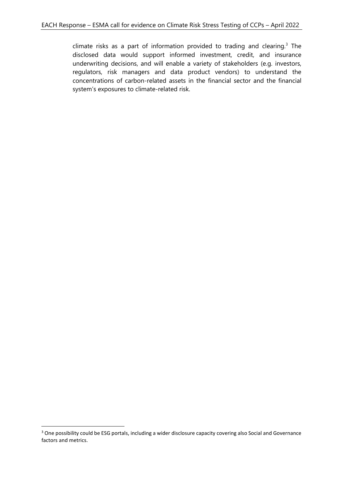climate risks as a part of information provided to trading and clearing.<sup>3</sup> The disclosed data would support informed investment, credit, and insurance underwriting decisions, and will enable a variety of stakeholders (e.g. investors, regulators, risk managers and data product vendors) to understand the concentrations of carbon-related assets in the financial sector and the financial system's exposures to climate-related risk.

<sup>&</sup>lt;sup>3</sup> One possibility could be ESG portals, including a wider disclosure capacity covering also Social and Governance factors and metrics.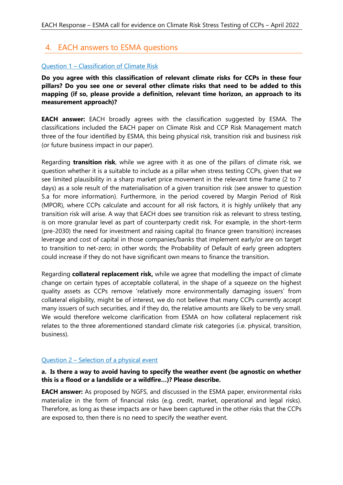# 4. EACH answers to ESMA questions

# Question 1 – Classification of Climate Risk

**Do you agree with this classification of relevant climate risks for CCPs in these four pillars? Do you see one or several other climate risks that need to be added to this mapping (if so, please provide a definition, relevant time horizon, an approach to its measurement approach)?**

**EACH answer:** EACH broadly agrees with the classification suggested by ESMA. The classifications included the EACH paper on Climate Risk and CCP Risk Management match three of the four identified by ESMA, this being physical risk, transition risk and business risk (or future business impact in our paper).

Regarding **transition risk**, while we agree with it as one of the pillars of climate risk, we question whether it is a suitable to include as a pillar when stress testing CCPs, given that we see limited plausibility in a sharp market price movement in the relevant time frame (2 to 7 days) as a sole result of the materialisation of a given transition risk (see answer to question 5.a for more information). Furthermore, in the period covered by Margin Period of Risk (MPOR), where CCPs calculate and account for all risk factors, it is highly unlikely that any transition risk will arise. A way that EACH does see transition risk as relevant to stress testing, is on more granular level as part of counterparty credit risk. For example, in the short-term (pre-2030) the need for investment and raising capital (to finance green transition) increases leverage and cost of capital in those companies/banks that implement early/or are on target to transition to net-zero; in other words; the Probability of Default of early green adopters could increase if they do not have significant own means to finance the transition.

Regarding **collateral replacement risk,** while we agree that modelling the impact of climate change on certain types of acceptable collateral, in the shape of a squeeze on the highest quality assets as CCPs remove 'relatively more environmentally damaging issuers' from collateral eligibility, might be of interest, we do not believe that many CCPs currently accept many issuers of such securities, and if they do, the relative amounts are likely to be very small. We would therefore welcome clarification from ESMA on how collateral replacement risk relates to the three aforementioned standard climate risk categories (i.e. physical, transition, business).

# Question 2 – Selection of a physical event

#### **a. Is there a way to avoid having to specify the weather event (be agnostic on whether this is a flood or a landslide or a wildfire…)? Please describe.**

**EACH answer:** As proposed by NGFS, and discussed in the ESMA paper, environmental risks materialize in the form of financial risks (e.g. credit, market, operational and legal risks). Therefore, as long as these impacts are or have been captured in the other risks that the CCPs are exposed to, then there is no need to specify the weather event.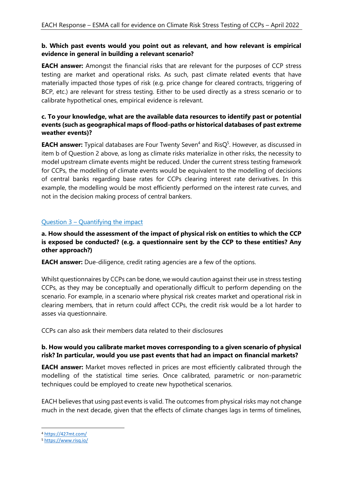# **b. Which past events would you point out as relevant, and how relevant is empirical evidence in general in building a relevant scenario?**

**EACH answer:** Amongst the financial risks that are relevant for the purposes of CCP stress testing are market and operational risks. As such, past climate related events that have materially impacted those types of risk (e.g. price change for cleared contracts, triggering of BCP, etc.) are relevant for stress testing. Either to be used directly as a stress scenario or to calibrate hypothetical ones, empirical evidence is relevant.

# **c. To your knowledge, what are the available data resources to identify past or potential events (such as geographical maps of flood-paths or historical databases of past extreme weather events)?**

**EACH answer:** Typical databases are Four Twenty Seven<sup>4</sup> and RisQ<sup>5</sup>. However, as discussed in item b of Question 2 above, as long as climate risks materialize in other risks, the necessity to model upstream climate events might be reduced. Under the current stress testing framework for CCPs, the modelling of climate events would be equivalent to the modelling of decisions of central banks regarding base rates for CCPs clearing interest rate derivatives. In this example, the modelling would be most efficiently performed on the interest rate curves, and not in the decision making process of central bankers.

# Question 3 – Quantifying the impact

# **a. How should the assessment of the impact of physical risk on entities to which the CCP is exposed be conducted? (e.g. a questionnaire sent by the CCP to these entities? Any other approach?)**

**EACH answer:** Due-diligence, credit rating agencies are a few of the options.

Whilst questionnaires by CCPs can be done, we would caution against their use in stress testing CCPs, as they may be conceptually and operationally difficult to perform depending on the scenario. For example, in a scenario where physical risk creates market and operational risk in clearing members, that in return could affect CCPs, the credit risk would be a lot harder to asses via questionnaire.

CCPs can also ask their members data related to their disclosures

# **b. How would you calibrate market moves corresponding to a given scenario of physical risk? In particular, would you use past events that had an impact on financial markets?**

**EACH answer:** Market moves reflected in prices are most efficiently calibrated through the modelling of the statistical time series. Once calibrated, parametric or non-parametric techniques could be employed to create new hypothetical scenarios.

EACH believes that using past events is valid. The outcomes from physical risks may not change much in the next decade, given that the effects of climate changes lags in terms of timelines,

<sup>4</sup> <https://427mt.com/>

<sup>5</sup> <https://www.risq.io/>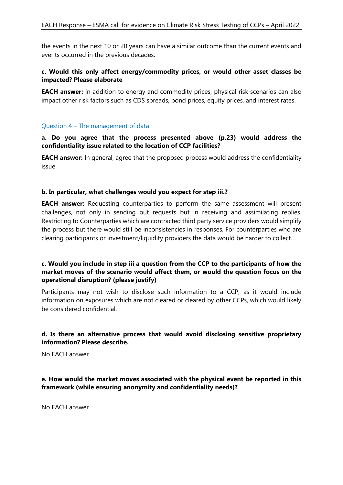the events in the next 10 or 20 years can have a similar outcome than the current events and events occurred in the previous decades.

# **c. Would this only affect energy/commodity prices, or would other asset classes be impacted? Please elaborate**

**EACH answer:** in addition to energy and commodity prices, physical risk scenarios can also impact other risk factors such as CDS spreads, bond prices, equity prices, and interest rates.

#### Question 4 – The management of data

#### **a. Do you agree that the process presented above (p.23) would address the confidentiality issue related to the location of CCP facilities?**

**EACH answer:** In general, agree that the proposed process would address the confidentiality issue

# **b. In particular, what challenges would you expect for step iii.?**

**EACH answer:** Requesting counterparties to perform the same assessment will present challenges, not only in sending out requests but in receiving and assimilating replies. Restricting to Counterparties which are contracted third party service providers would simplify the process but there would still be inconsistencies in responses. For counterparties who are clearing participants or investment/liquidity providers the data would be harder to collect.

# **c. Would you include in step iii a question from the CCP to the participants of how the market moves of the scenario would affect them, or would the question focus on the operational disruption? (please justify)**

Participants may not wish to disclose such information to a CCP, as it would include information on exposures which are not cleared or cleared by other CCPs, which would likely be considered confidential.

# **d. Is there an alternative process that would avoid disclosing sensitive proprietary information? Please describe.**

No EACH answer

**e. How would the market moves associated with the physical event be reported in this framework (while ensuring anonymity and confidentiality needs)?** 

No EACH answer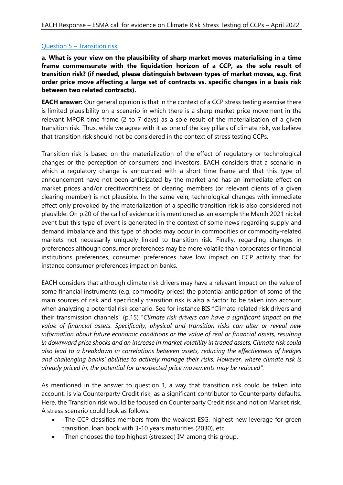# Question 5 – Transition risk

**a. What is your view on the plausibility of sharp market moves materialising in a time frame commensurate with the liquidation horizon of a CCP, as the sole result of transition risk? (if needed, please distinguish between types of market moves, e.g. first order price move affecting a large set of contracts vs. specific changes in a basis risk between two related contracts).** 

**EACH answer:** Our general opinion is that in the context of a CCP stress testing exercise there is limited plausibility on a scenario in which there is a sharp market price movement in the relevant MPOR time frame (2 to 7 days) as a sole result of the materialisation of a given transition risk. Thus, while we agree with it as one of the key pillars of climate risk, we believe that transition risk should not be considered in the context of stress testing CCPs.

Transition risk is based on the materialization of the effect of regulatory or technological changes or the perception of consumers and investors. EACH considers that a scenario in which a regulatory change is announced with a short time frame and that this type of announcement have not been anticipated by the market and has an immediate effect on market prices and/or creditworthiness of clearing members (or relevant clients of a given clearing member) is not plausible. In the same vein, technological changes with immediate effect only provoked by the materialization of a specific transition risk is also considered not plausible. On p.20 of the call of evidence it is mentioned as an example the March 2021 nickel event but this type of event is generated in the context of some news regarding supply and demand imbalance and this type of shocks may occur in commodities or commodity-related markets not necessarily uniquely linked to transition risk. Finally, regarding changes in preferences although consumer preferences may be more volatile than corporates or financial institutions preferences, consumer preferences have low impact on CCP activity that for instance consumer preferences impact on banks.

EACH considers that although climate risk drivers may have a relevant impact on the value of some financial instruments (e.g. commodity prices) the potential anticipation of some of the main sources of risk and specifically transition risk is also a factor to be taken into account when analyzing a potential risk scenario. See for instance BIS "Climate-related risk drivers and their transmission channels" (p.15) "*Climate risk drivers can have a significant impact on the value of financial assets. Specifically, physical and transition risks can alter or reveal new information about future economic conditions or the value of real or financial assets, resulting in downward price shocks and an increase in market volatility in traded assets. Climate risk could also lead to a breakdown in correlations between assets, reducing the effectiveness of hedges and challenging banks' abilities to actively manage their risks. However, where climate risk is already priced in, the potential for unexpected price movements may be reduced".* 

As mentioned in the answer to question 1, a way that transition risk could be taken into account, is via Counterparty Credit risk, as a significant contributor to Counterparty defaults. Here, the Transition risk would be focused on Counterparty Credit risk and not on Market risk. A stress scenario could look as follows:

- -The CCP classifies members from the weakest ESG, highest new leverage for green transition, loan book with 3-10 years maturities (2030), etc.
- -Then chooses the top highest (stressed) IM among this group.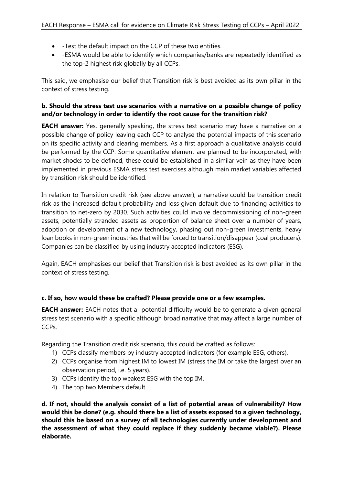- -Test the default impact on the CCP of these two entities.
- -ESMA would be able to identify which companies/banks are repeatedly identified as the top-2 highest risk globally by all CCPs.

This said, we emphasise our belief that Transition risk is best avoided as its own pillar in the context of stress testing.

# **b. Should the stress test use scenarios with a narrative on a possible change of policy and/or technology in order to identify the root cause for the transition risk?**

**EACH answer:** Yes, generally speaking, the stress test scenario may have a narrative on a possible change of policy leaving each CCP to analyse the potential impacts of this scenario on its specific activity and clearing members. As a first approach a qualitative analysis could be performed by the CCP. Some quantitative element are planned to be incorporated, with market shocks to be defined, these could be established in a similar vein as they have been implemented in previous ESMA stress test exercises although main market variables affected by transition risk should be identified.

In relation to Transition credit risk (see above answer), a narrative could be transition credit risk as the increased default probability and loss given default due to financing activities to transition to net-zero by 2030. Such activities could involve decommissioning of non-green assets, potentially stranded assets as proportion of balance sheet over a number of years, adoption or development of a new technology, phasing out non-green investments, heavy loan books in non-green industries that will be forced to transition/disappear (coal producers). Companies can be classified by using industry accepted indicators (ESG).

Again, EACH emphasises our belief that Transition risk is best avoided as its own pillar in the context of stress testing.

# **c. If so, how would these be crafted? Please provide one or a few examples.**

**EACH answer:** EACH notes that a potential difficulty would be to generate a given general stress test scenario with a specific although broad narrative that may affect a large number of CCPs.

Regarding the Transition credit risk scenario, this could be crafted as follows:

- 1) CCPs classify members by industry accepted indicators (for example ESG, others).
- 2) CCPs organise from highest IM to lowest IM (stress the IM or take the largest over an observation period, i.e. 5 years).
- 3) CCPs identify the top weakest ESG with the top IM.
- 4) The top two Members default.

**d. If not, should the analysis consist of a list of potential areas of vulnerability? How would this be done? (e.g. should there be a list of assets exposed to a given technology, should this be based on a survey of all technologies currently under development and the assessment of what they could replace if they suddenly became viable?). Please elaborate.**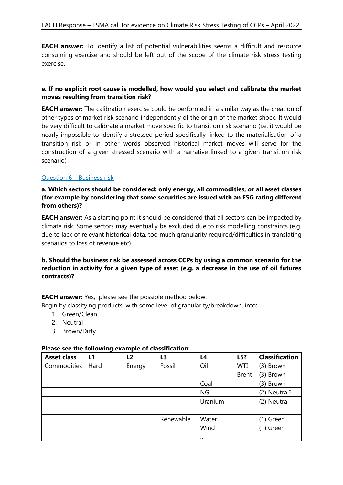**EACH answer:** To identify a list of potential vulnerabilities seems a difficult and resource consuming exercise and should be left out of the scope of the climate risk stress testing exercise.

# **e. If no explicit root cause is modelled, how would you select and calibrate the market moves resulting from transition risk?**

**EACH answer:** The calibration exercise could be performed in a similar way as the creation of other types of market risk scenario independently of the origin of the market shock. It would be very difficult to calibrate a market move specific to transition risk scenario (i.e. it would be nearly impossible to identify a stressed period specifically linked to the materialisation of a transition risk or in other words observed historical market moves will serve for the construction of a given stressed scenario with a narrative linked to a given transition risk scenario)

# Question 6 – Business risk

**a. Which sectors should be considered: only energy, all commodities, or all asset classes (for example by considering that some securities are issued with an ESG rating different from others)?** 

**EACH answer:** As a starting point it should be considered that all sectors can be impacted by climate risk. Some sectors may eventually be excluded due to risk modelling constraints (e.g. due to lack of relevant historical data, too much granularity required/difficulties in translating scenarios to loss of revenue etc).

# **b. Should the business risk be assessed across CCPs by using a common scenario for the reduction in activity for a given type of asset (e.g. a decrease in the use of oil futures contracts)?**

**EACH answer:** Yes, please see the possible method below:

Begin by classifying products, with some level of granularity/breakdown, into:

- 1. Green/Clean
- 2. Neutral
- 3. Brown/Dirty

#### **Please see the following example of classification**:

| <b>Asset class</b> | $\tilde{\phantom{a}}$<br>L1 | L2     | L3        | L4        | L5?          | <b>Classification</b> |
|--------------------|-----------------------------|--------|-----------|-----------|--------------|-----------------------|
| Commodities        | Hard                        | Energy | Fossil    | Oil       | WTI          | (3) Brown             |
|                    |                             |        |           |           | <b>Brent</b> | (3) Brown             |
|                    |                             |        |           | Coal      |              | (3) Brown             |
|                    |                             |        |           | <b>NG</b> |              | (2) Neutral?          |
|                    |                             |        |           | Uranium   |              | (2) Neutral           |
|                    |                             |        |           | $\cdots$  |              |                       |
|                    |                             |        | Renewable | Water     |              | 1) Green              |
|                    |                             |        |           | Wind      |              | (1) Green             |
|                    |                             |        |           | $\cdots$  |              |                       |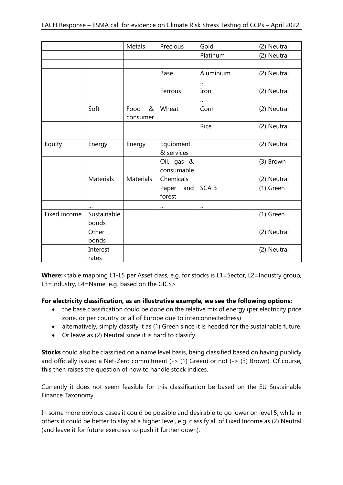|              |                      | Metals                | Precious                 | Gold        | (2) Neutral |
|--------------|----------------------|-----------------------|--------------------------|-------------|-------------|
|              |                      |                       |                          | Platinum    | (2) Neutral |
|              |                      |                       |                          | $\cdots$    |             |
|              |                      |                       | Base                     | Aluminium   | (2) Neutral |
|              |                      |                       |                          | $\cdots$    |             |
|              |                      |                       | Ferrous                  | Iron        | (2) Neutral |
|              |                      |                       |                          | $\cdots$    |             |
|              | Soft                 | Food<br>&<br>consumer | Wheat                    | Corn        | (2) Neutral |
|              |                      |                       |                          | Rice        | (2) Neutral |
|              |                      |                       |                          |             |             |
| Equity       | Energy               | Energy                | Equipment.<br>& services |             | (2) Neutral |
|              |                      |                       | Oil, gas &<br>consumable |             | (3) Brown   |
|              | Materials            | Materials             | Chemicals                |             | (2) Neutral |
|              |                      |                       | Paper<br>and<br>forest   | <b>SCAB</b> | (1) Green   |
|              | $\cdots$             |                       |                          | $\ldots$    |             |
| Fixed income | Sustainable<br>bonds |                       |                          |             | (1) Green   |
|              | Other<br>bonds       |                       |                          |             | (2) Neutral |
|              | Interest<br>rates    |                       |                          |             | (2) Neutral |

**Where:**<table mapping L1-L5 per Asset class, e.g. for stocks is L1=Sector, L2=Industry group, L3=Industry, L4=Name, e.g. based on the GICS>

# **For electricity classification, as an illustrative example, we see the following options:**

- the base classification could be done on the relative mix of energy (per electricity price zone, or per country or all of Europe due to interconnectedness)
- alternatively, simply classify it as (1) Green since it is needed for the sustainable future.
- Or leave as (2) Neutral since it is hard to classify.

**Stocks** could also be classified on a name level basis, being classified based on having publicly and officially issued a Net-Zero commitment (->  $(1)$  Green) or not (->  $(3)$  Brown). Of course, this then raises the question of how to handle stock indices.

Currently it does not seem feasible for this classification be based on the EU Sustainable Finance Taxonomy.

In some more obvious cases it could be possible and desirable to go lower on level 5, while in others it could be better to stay at a higher level, e.g. classify all of Fixed Income as (2) Neutral (and leave it for future exercises to push it further down).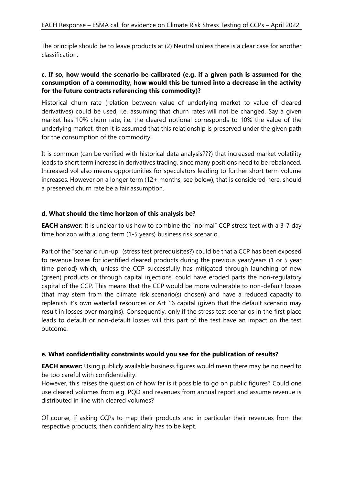The principle should be to leave products at (2) Neutral unless there is a clear case for another classification.

#### **c. If so, how would the scenario be calibrated (e.g. if a given path is assumed for the consumption of a commodity, how would this be turned into a decrease in the activity for the future contracts referencing this commodity)?**

Historical churn rate (relation between value of underlying market to value of cleared derivatives) could be used, i.e. assuming that churn rates will not be changed. Say a given market has 10% churn rate, i.e. the cleared notional corresponds to 10% the value of the underlying market, then it is assumed that this relationship is preserved under the given path for the consumption of the commodity.

It is common (can be verified with historical data analysis???) that increased market volatility leads to short term increase in derivatives trading, since many positions need to be rebalanced. Increased vol also means opportunities for speculators leading to further short term volume increases. However on a longer term (12+ months, see below), that is considered here, should a preserved churn rate be a fair assumption.

# **d. What should the time horizon of this analysis be?**

**EACH answer:** It is unclear to us how to combine the "normal" CCP stress test with a 3-7 day time horizon with a long term (1-5 years) business risk scenario.

Part of the "scenario run-up" (stress test prerequisites?) could be that a CCP has been exposed to revenue losses for identified cleared products during the previous year/years (1 or 5 year time period) which, unless the CCP successfully has mitigated through launching of new (green) products or through capital injections, could have eroded parts the non-regulatory capital of the CCP. This means that the CCP would be more vulnerable to non-default losses (that may stem from the climate risk scenario(s) chosen) and have a reduced capacity to replenish it's own waterfall resources or Art 16 capital (given that the default scenario may result in losses over margins). Consequently, only if the stress test scenarios in the first place leads to default or non-default losses will this part of the test have an impact on the test outcome.

# **e. What confidentiality constraints would you see for the publication of results?**

**EACH answer:** Using publicly available business figures would mean there may be no need to be too careful with confidentiality.

However, this raises the question of how far is it possible to go on public figures? Could one use cleared volumes from e.g. PQD and revenues from annual report and assume revenue is distributed in line with cleared volumes?

Of course, if asking CCPs to map their products and in particular their revenues from the respective products, then confidentiality has to be kept.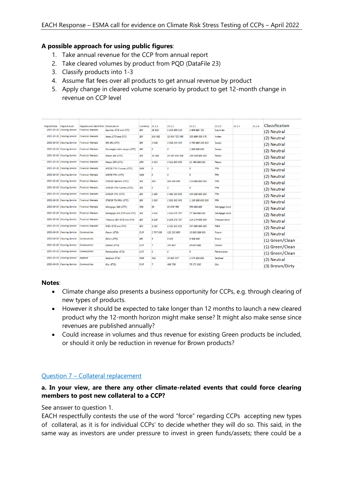# **A possible approach for using public figures**:

- 1. Take annual revenue for the CCP from annual report
- 2. Take cleared volumes by product from PQD (DataFile 23)
- 3. Classify products into 1-3
- 4. Assume flat fees over all products to get annual revenue by product
- 5. Apply change in cleared volume scenario by product to get 12-month change in revenue on CCP level

| 2021-09-30 Clearing Service<br>1 250 800 110<br><b>Financial Markets</b><br>Equities (ETD and OTC)<br><b>SEK</b><br>68 920<br>1 909 881 705<br><b>Equities</b><br>2021-09-30 Clearing Service<br><b>Financial Markets</b><br>Index (ETD and OTC)<br><b>SEK</b><br>141 482<br>32 604 725 596<br>101 899 358 376<br>Index<br>2021-09-30 Clearing Service<br><b>Financial Markets</b><br><b>SEK</b><br>2 048 242 424<br><b>SEK IRS (OTC)</b><br>2048<br>2 753 885 293 622<br><b>Swaps</b><br>2021-09-30 Clearing Service<br><b>Financial Markets</b><br>0<br>0<br><b>SEK</b><br>Overnight index swaps (OTC)<br>1 000 000 000<br><b>Swaps</b><br>2021-09-30 Clearing Service<br><b>Financial Markets</b><br><b>SEK</b><br>19 347 636 364<br><b>Repos SEK (OTC)</b><br>19 348<br>109 324 000 000<br>Repos<br>2021-09-30 Clearing Service<br><b>Financial Markets</b><br><b>DKK</b><br>4453<br>4 452 863 636<br><b>Repos DKK (OTC)</b><br>11 786 000 000<br>Repos<br>2021-09-30 Clearing Service<br><b>Financial Markets</b><br><b>FRA</b><br><b>NIBOR FRA Futures (OTC)</b><br><b>NOK</b><br>$\mathcal{O}$<br>0<br>$\mathcal O$<br>2021-09-30 Clearing Service<br><b>Financial Markets</b><br>$\theta$<br><b>NIBOR FRA (OTC)</b><br><b>NOK</b><br>0<br>0<br><b>FRA</b><br>2021-09-30 Clearing Service<br><b>Financial Markets</b><br><b>SEK</b><br>606<br><b>FRA</b><br><b>STIBOR Options (OTC)</b><br>606 060 606<br>110 000 000 000<br>2021-09-30 Clearing Service<br><b>Financial Markets</b><br><b>SEK</b><br>0<br>0<br>$\mathbf{0}$<br><b>FRA</b><br><b>STIBOR FRA Futures (OTC)</b><br>2021-09-30 Clearing Service<br><b>Financial Markets</b><br><b>STIBOR FRA (OTC)</b><br><b>SEK</b><br>5486<br>5 486 363 636<br><b>FRA</b><br>414 500 000 000<br>2021-09-30 Clearing Service<br><b>Financial Markets</b><br><b>SEK</b><br>1333<br>1 333 333 333<br>1 133 500 000 000<br><b>FRA</b><br><b>STIBOR TM FRA (OTC)</b><br>2021-09-30 Clearing Service<br><b>Financial Markets</b><br>62 878 788<br>550 000 000<br>Mortgage DKK (OTC)<br><b>DKK</b><br>63<br>Mortgage bond<br>2021-09-30 Clearing Service<br><b>Financial Markets</b><br>Mortgage SEK (ETD and OTC)<br><b>SEK</b><br>3 656<br>3 656 075 757<br>77 764 000 000<br>Mortgage bond<br>2021-09-30 Clearing Service<br><b>Financial Markets</b><br>Treasury SEK (ETD and OTC)<br><b>SEK</b><br>8 2 0 9<br>8 209 272 727<br>116 174 000 000<br><b>Treasury bond</b><br>2021-09-30 Clearing Service Financial Markets<br>1515 151 515<br>RIBA (ETD and OTC)<br><b>SEK</b><br>1515<br>347 000 000 000<br><b>RIBA</b> |                 |
|---------------------------------------------------------------------------------------------------------------------------------------------------------------------------------------------------------------------------------------------------------------------------------------------------------------------------------------------------------------------------------------------------------------------------------------------------------------------------------------------------------------------------------------------------------------------------------------------------------------------------------------------------------------------------------------------------------------------------------------------------------------------------------------------------------------------------------------------------------------------------------------------------------------------------------------------------------------------------------------------------------------------------------------------------------------------------------------------------------------------------------------------------------------------------------------------------------------------------------------------------------------------------------------------------------------------------------------------------------------------------------------------------------------------------------------------------------------------------------------------------------------------------------------------------------------------------------------------------------------------------------------------------------------------------------------------------------------------------------------------------------------------------------------------------------------------------------------------------------------------------------------------------------------------------------------------------------------------------------------------------------------------------------------------------------------------------------------------------------------------------------------------------------------------------------------------------------------------------------------------------------------------------------------------------------------------------------------------------------------------------------------------------------------------------------------------------------------------------------------------------------------------------------------------------------------------------|-----------------|
|                                                                                                                                                                                                                                                                                                                                                                                                                                                                                                                                                                                                                                                                                                                                                                                                                                                                                                                                                                                                                                                                                                                                                                                                                                                                                                                                                                                                                                                                                                                                                                                                                                                                                                                                                                                                                                                                                                                                                                                                                                                                                                                                                                                                                                                                                                                                                                                                                                                                                                                                                                           | (2) Neutral     |
|                                                                                                                                                                                                                                                                                                                                                                                                                                                                                                                                                                                                                                                                                                                                                                                                                                                                                                                                                                                                                                                                                                                                                                                                                                                                                                                                                                                                                                                                                                                                                                                                                                                                                                                                                                                                                                                                                                                                                                                                                                                                                                                                                                                                                                                                                                                                                                                                                                                                                                                                                                           | (2) Neutral     |
|                                                                                                                                                                                                                                                                                                                                                                                                                                                                                                                                                                                                                                                                                                                                                                                                                                                                                                                                                                                                                                                                                                                                                                                                                                                                                                                                                                                                                                                                                                                                                                                                                                                                                                                                                                                                                                                                                                                                                                                                                                                                                                                                                                                                                                                                                                                                                                                                                                                                                                                                                                           | (2) Neutral     |
|                                                                                                                                                                                                                                                                                                                                                                                                                                                                                                                                                                                                                                                                                                                                                                                                                                                                                                                                                                                                                                                                                                                                                                                                                                                                                                                                                                                                                                                                                                                                                                                                                                                                                                                                                                                                                                                                                                                                                                                                                                                                                                                                                                                                                                                                                                                                                                                                                                                                                                                                                                           | (2) Neutral     |
|                                                                                                                                                                                                                                                                                                                                                                                                                                                                                                                                                                                                                                                                                                                                                                                                                                                                                                                                                                                                                                                                                                                                                                                                                                                                                                                                                                                                                                                                                                                                                                                                                                                                                                                                                                                                                                                                                                                                                                                                                                                                                                                                                                                                                                                                                                                                                                                                                                                                                                                                                                           | (2) Neutral     |
|                                                                                                                                                                                                                                                                                                                                                                                                                                                                                                                                                                                                                                                                                                                                                                                                                                                                                                                                                                                                                                                                                                                                                                                                                                                                                                                                                                                                                                                                                                                                                                                                                                                                                                                                                                                                                                                                                                                                                                                                                                                                                                                                                                                                                                                                                                                                                                                                                                                                                                                                                                           | (2) Neutral     |
|                                                                                                                                                                                                                                                                                                                                                                                                                                                                                                                                                                                                                                                                                                                                                                                                                                                                                                                                                                                                                                                                                                                                                                                                                                                                                                                                                                                                                                                                                                                                                                                                                                                                                                                                                                                                                                                                                                                                                                                                                                                                                                                                                                                                                                                                                                                                                                                                                                                                                                                                                                           | (2) Neutral     |
|                                                                                                                                                                                                                                                                                                                                                                                                                                                                                                                                                                                                                                                                                                                                                                                                                                                                                                                                                                                                                                                                                                                                                                                                                                                                                                                                                                                                                                                                                                                                                                                                                                                                                                                                                                                                                                                                                                                                                                                                                                                                                                                                                                                                                                                                                                                                                                                                                                                                                                                                                                           | (2) Neutral     |
|                                                                                                                                                                                                                                                                                                                                                                                                                                                                                                                                                                                                                                                                                                                                                                                                                                                                                                                                                                                                                                                                                                                                                                                                                                                                                                                                                                                                                                                                                                                                                                                                                                                                                                                                                                                                                                                                                                                                                                                                                                                                                                                                                                                                                                                                                                                                                                                                                                                                                                                                                                           | (2) Neutral     |
|                                                                                                                                                                                                                                                                                                                                                                                                                                                                                                                                                                                                                                                                                                                                                                                                                                                                                                                                                                                                                                                                                                                                                                                                                                                                                                                                                                                                                                                                                                                                                                                                                                                                                                                                                                                                                                                                                                                                                                                                                                                                                                                                                                                                                                                                                                                                                                                                                                                                                                                                                                           | (2) Neutral     |
|                                                                                                                                                                                                                                                                                                                                                                                                                                                                                                                                                                                                                                                                                                                                                                                                                                                                                                                                                                                                                                                                                                                                                                                                                                                                                                                                                                                                                                                                                                                                                                                                                                                                                                                                                                                                                                                                                                                                                                                                                                                                                                                                                                                                                                                                                                                                                                                                                                                                                                                                                                           | (2) Neutral     |
|                                                                                                                                                                                                                                                                                                                                                                                                                                                                                                                                                                                                                                                                                                                                                                                                                                                                                                                                                                                                                                                                                                                                                                                                                                                                                                                                                                                                                                                                                                                                                                                                                                                                                                                                                                                                                                                                                                                                                                                                                                                                                                                                                                                                                                                                                                                                                                                                                                                                                                                                                                           | (2) Neutral     |
|                                                                                                                                                                                                                                                                                                                                                                                                                                                                                                                                                                                                                                                                                                                                                                                                                                                                                                                                                                                                                                                                                                                                                                                                                                                                                                                                                                                                                                                                                                                                                                                                                                                                                                                                                                                                                                                                                                                                                                                                                                                                                                                                                                                                                                                                                                                                                                                                                                                                                                                                                                           | (2) Neutral     |
|                                                                                                                                                                                                                                                                                                                                                                                                                                                                                                                                                                                                                                                                                                                                                                                                                                                                                                                                                                                                                                                                                                                                                                                                                                                                                                                                                                                                                                                                                                                                                                                                                                                                                                                                                                                                                                                                                                                                                                                                                                                                                                                                                                                                                                                                                                                                                                                                                                                                                                                                                                           | (2) Neutral     |
|                                                                                                                                                                                                                                                                                                                                                                                                                                                                                                                                                                                                                                                                                                                                                                                                                                                                                                                                                                                                                                                                                                                                                                                                                                                                                                                                                                                                                                                                                                                                                                                                                                                                                                                                                                                                                                                                                                                                                                                                                                                                                                                                                                                                                                                                                                                                                                                                                                                                                                                                                                           | (2) Neutral     |
|                                                                                                                                                                                                                                                                                                                                                                                                                                                                                                                                                                                                                                                                                                                                                                                                                                                                                                                                                                                                                                                                                                                                                                                                                                                                                                                                                                                                                                                                                                                                                                                                                                                                                                                                                                                                                                                                                                                                                                                                                                                                                                                                                                                                                                                                                                                                                                                                                                                                                                                                                                           | (2) Neutral     |
| 2021-09-30 Clearing Service<br><b>Commodities</b><br>2 707 338<br>120 202 809<br>Power (ETD)<br><b>EUR</b><br>10 935 206 939<br>Power                                                                                                                                                                                                                                                                                                                                                                                                                                                                                                                                                                                                                                                                                                                                                                                                                                                                                                                                                                                                                                                                                                                                                                                                                                                                                                                                                                                                                                                                                                                                                                                                                                                                                                                                                                                                                                                                                                                                                                                                                                                                                                                                                                                                                                                                                                                                                                                                                                     | (2) Neutral     |
| 2021-09-30 Clearing Service<br><b>Commodities</b><br>EICert (ETD)<br><b>SEK</b><br>5.<br>9023<br>9 408 920<br>Elcert                                                                                                                                                                                                                                                                                                                                                                                                                                                                                                                                                                                                                                                                                                                                                                                                                                                                                                                                                                                                                                                                                                                                                                                                                                                                                                                                                                                                                                                                                                                                                                                                                                                                                                                                                                                                                                                                                                                                                                                                                                                                                                                                                                                                                                                                                                                                                                                                                                                      | (1) Green/Clean |
| 2021-09-30 Clearing Service<br>$\overline{z}$<br><b>Commodities</b><br>20 022 600<br>Carbon (ETD)<br><b>EUR</b><br>393 487<br>Carbon                                                                                                                                                                                                                                                                                                                                                                                                                                                                                                                                                                                                                                                                                                                                                                                                                                                                                                                                                                                                                                                                                                                                                                                                                                                                                                                                                                                                                                                                                                                                                                                                                                                                                                                                                                                                                                                                                                                                                                                                                                                                                                                                                                                                                                                                                                                                                                                                                                      | (1) Green/Clean |
| 2021-09-30 Clearing Service<br>$\mathfrak{o}$<br>$\mathfrak{o}$<br><b>Commodities</b><br>0<br><b>Renewables (ETD)</b><br><b>EUR</b><br><b>Renewables</b>                                                                                                                                                                                                                                                                                                                                                                                                                                                                                                                                                                                                                                                                                                                                                                                                                                                                                                                                                                                                                                                                                                                                                                                                                                                                                                                                                                                                                                                                                                                                                                                                                                                                                                                                                                                                                                                                                                                                                                                                                                                                                                                                                                                                                                                                                                                                                                                                                  | (1) Green/Clean |
| 2021-09-30 Clearing Service<br>Seafood<br>311<br>33 965 447<br>1 574 202 000<br>Seafood (ETD)<br><b>NOK</b><br>Seafood                                                                                                                                                                                                                                                                                                                                                                                                                                                                                                                                                                                                                                                                                                                                                                                                                                                                                                                                                                                                                                                                                                                                                                                                                                                                                                                                                                                                                                                                                                                                                                                                                                                                                                                                                                                                                                                                                                                                                                                                                                                                                                                                                                                                                                                                                                                                                                                                                                                    | (2) Neutral     |
| 2021-09-30 Clearing Service<br><b>Commodities</b><br><b>EUR</b><br>$\overline{z}$<br>486 758<br>70 171 332<br>Gas<br>Gas (ETD)                                                                                                                                                                                                                                                                                                                                                                                                                                                                                                                                                                                                                                                                                                                                                                                                                                                                                                                                                                                                                                                                                                                                                                                                                                                                                                                                                                                                                                                                                                                                                                                                                                                                                                                                                                                                                                                                                                                                                                                                                                                                                                                                                                                                                                                                                                                                                                                                                                            | (3) Brown/Dirty |

#### **Notes**:

- Climate change also presents a business opportunity for CCPs, e.g. through clearing of new types of products.
- However it should be expected to take longer than 12 months to launch a new cleared product why the 12-month horizon might make sense? It might also make sense since revenues are published annually?
- Could increase in volumes and thus revenue for existing Green products be included, or should it only be reduction in revenue for Brown products?

# Question 7 – Collateral replacement

# **a. In your view, are there any other climate-related events that could force clearing members to post new collateral to a CCP?**

#### See answer to question 1.

EACH respectfully contests the use of the word "force" regarding CCPs accepting new types of collateral, as it is for individual CCPs' to decide whether they will do so. This said, in the same way as investors are under pressure to invest in green funds/assets; there could be a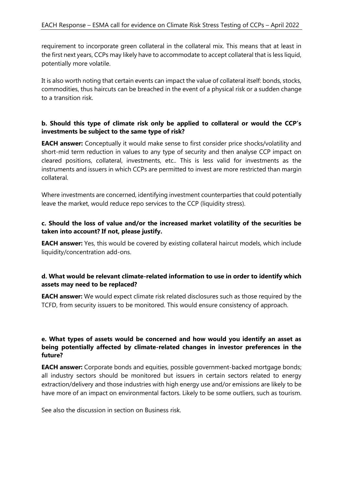requirement to incorporate green collateral in the collateral mix. This means that at least in the first next years, CCPs may likely have to accommodate to accept collateral that is less liquid, potentially more volatile.

It is also worth noting that certain events can impact the value of collateral itself: bonds, stocks, commodities, thus haircuts can be breached in the event of a physical risk or a sudden change to a transition risk.

# **b. Should this type of climate risk only be applied to collateral or would the CCP's investments be subject to the same type of risk?**

**EACH answer:** Conceptually it would make sense to first consider price shocks/volatility and short-mid term reduction in values to any type of security and then analyse CCP impact on cleared positions, collateral, investments, etc.. This is less valid for investments as the instruments and issuers in which CCPs are permitted to invest are more restricted than margin collateral.

Where investments are concerned, identifying investment counterparties that could potentially leave the market, would reduce repo services to the CCP (liquidity stress).

# **c. Should the loss of value and/or the increased market volatility of the securities be taken into account? If not, please justify.**

**EACH answer:** Yes, this would be covered by existing collateral haircut models, which include liquidity/concentration add-ons.

# **d. What would be relevant climate-related information to use in order to identify which assets may need to be replaced?**

**EACH answer:** We would expect climate risk related disclosures such as those required by the TCFD, from security issuers to be monitored. This would ensure consistency of approach.

# **e. What types of assets would be concerned and how would you identify an asset as being potentially affected by climate-related changes in investor preferences in the future?**

**EACH answer:** Corporate bonds and equities, possible government-backed mortgage bonds; all industry sectors should be monitored but issuers in certain sectors related to energy extraction/delivery and those industries with high energy use and/or emissions are likely to be have more of an impact on environmental factors. Likely to be some outliers, such as tourism.

See also the discussion in section on Business risk.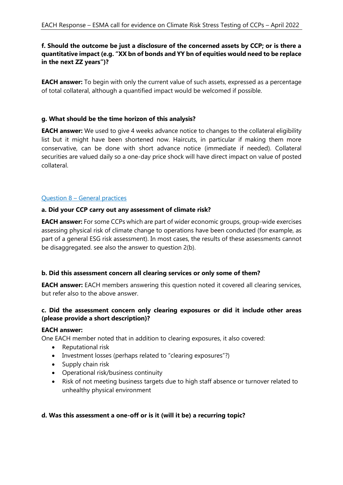# **f. Should the outcome be just a disclosure of the concerned assets by CCP; or is there a quantitative impact (e.g. "XX bn of bonds and YY bn of equities would need to be replace in the next ZZ years")?**

**EACH answer:** To begin with only the current value of such assets, expressed as a percentage of total collateral, although a quantified impact would be welcomed if possible.

# **g. What should be the time horizon of this analysis?**

**EACH answer:** We used to give 4 weeks advance notice to changes to the collateral eligibility list but it might have been shortened now. Haircuts, in particular if making them more conservative, can be done with short advance notice (immediate if needed). Collateral securities are valued daily so a one-day price shock will have direct impact on value of posted collateral.

# Question 8 – General practices

# **a. Did your CCP carry out any assessment of climate risk?**

**EACH answer:** For some CCPs which are part of wider economic groups, group-wide exercises assessing physical risk of climate change to operations have been conducted (for example, as part of a general ESG risk assessment). In most cases, the results of these assessments cannot be disaggregated. see also the answer to question 2(b).

# **b. Did this assessment concern all clearing services or only some of them?**

**EACH answer:** EACH members answering this question noted it covered all clearing services, but refer also to the above answer.

# **c. Did the assessment concern only clearing exposures or did it include other areas (please provide a short description)?**

# **EACH answer:**

One EACH member noted that in addition to clearing exposures, it also covered:

- Reputational risk
- Investment losses (perhaps related to "clearing exposures"?)
- Supply chain risk
- Operational risk/business continuity
- Risk of not meeting business targets due to high staff absence or turnover related to unhealthy physical environment

# **d. Was this assessment a one-off or is it (will it be) a recurring topic?**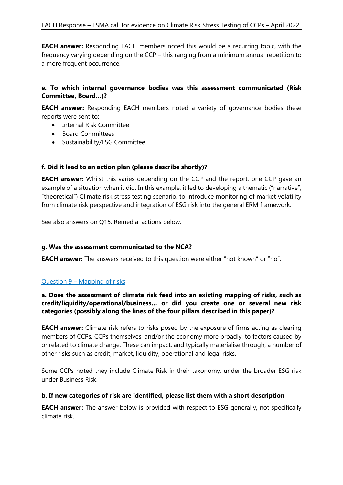**EACH answer:** Responding EACH members noted this would be a recurring topic, with the frequency varying depending on the CCP – this ranging from a minimum annual repetition to a more frequent occurrence.

# **e. To which internal governance bodies was this assessment communicated (Risk Committee, Board…)?**

**EACH answer:** Responding EACH members noted a variety of governance bodies these reports were sent to:

- Internal Risk Committee
- Board Committees
- Sustainability/ESG Committee

# **f. Did it lead to an action plan (please describe shortly)?**

**EACH answer:** Whilst this varies depending on the CCP and the report, one CCP gave an example of a situation when it did. In this example, it led to developing a thematic ("narrative", "theoretical") Climate risk stress testing scenario, to introduce monitoring of market volatility from climate risk perspective and integration of ESG risk into the general ERM framework.

See also answers on Q15. Remedial actions below.

# **g. Was the assessment communicated to the NCA?**

**EACH answer:** The answers received to this question were either "not known" or "no".

# Question 9 – Mapping of risks

# **a. Does the assessment of climate risk feed into an existing mapping of risks, such as credit/liquidity/operational/business… or did you create one or several new risk categories (possibly along the lines of the four pillars described in this paper)?**

**EACH answer:** Climate risk refers to risks posed by the exposure of firms acting as clearing members of CCPs, CCPs themselves, and/or the economy more broadly, to factors caused by or related to climate change. These can impact, and typically materialise through, a number of other risks such as credit, market, liquidity, operational and legal risks.

Some CCPs noted they include Climate Risk in their taxonomy, under the broader ESG risk under Business Risk.

# **b. If new categories of risk are identified, please list them with a short description**

**EACH answer:** The answer below is provided with respect to ESG generally, not specifically climate risk.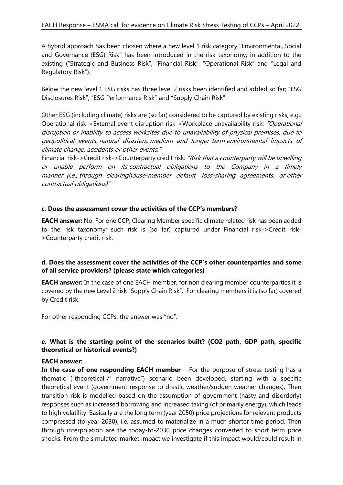A hybrid approach has been chosen where a new level 1 risk category "Environmental, Social and Governance (ESG) Risk" has been introduced in the risk taxonomy, in addition to the existing ("Strategic and Business Risk", "Financial Risk", "Operational Risk" and "Legal and Regulatory Risk").

Below the new level 1 ESG risks has three level 2 risks been identified and added so far; "ESG Disclosures Risk", "ESG Performance Risk" and "Supply Chain Risk".

Other ESG (including climate) risks are (so far) considered to be captured by existing risks, e.g.: Operational risk->External event disruption risk->Workplace unavailability risk: "Operational disruption or inability to access worksites due to unavailability of physical premises, due to geopolitical events, natural disasters, medium and longer-term environmental impacts of climate change, accidents or other events."

Financial risk->Credit risk->Counterparty credit risk: "Risk that a counterparty will be unwilling or unable perform on its contractual obligations to the Company in a timely manner (i.e., through clearinghouse-member default, loss-sharing agreements, or other contractual obligations)"

# **c. Does the assessment cover the activities of the CCP's members?**

**EACH answer:** No. For one CCP, Clearing Member specific climate related risk has been added to the risk taxonomy; such risk is (so far) captured under Financial risk->Credit risk- >Counterparty credit risk.

# **d. Does the assessment cover the activities of the CCP's other counterparties and some of all service providers? (please state which categories)**

**EACH answer:** In the case of one EACH member, for non clearing member counterparties it is covered by the new Level 2 risk "Supply Chain Risk". For clearing members it is (so far) covered by Credit risk.

For other responding CCPs, the answer was "no".

# **e. What is the starting point of the scenarios built? (CO2 path, GDP path, specific theoretical or historical events?)**

#### **EACH answer:**

**In the case of one responding EACH member** – For the purpose of stress testing has a thematic ("theoretical"/" narrative") scenario been developed, starting with a specific theoretical event (government response to drastic weather/sudden weather changes). Then transition risk is modelled based on the assumption of government (hasty and disorderly) responses such as increased borrowing and increased taxing (of primarily energy), which leads to high volatility. Basically are the long term (year 2050) price projections for relevant products compressed (to year 2030), i.e. assumed to materialize in a much shorter time period. Then through interpolation are the today-to-2030 price changes converted to short term price shocks. From the simulated market impact we investigate if this impact would/could result in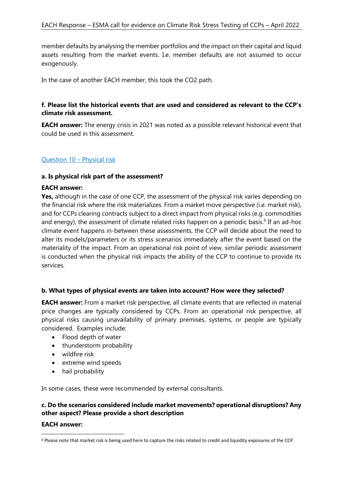member defaults by analysing the member portfolios and the impact on their capital and liquid assets resulting from the market events. I.e. member defaults are not assumed to occur exogenously.

In the case of another EACH member, this took the CO2 path.

# **f. Please list the historical events that are used and considered as relevant to the CCP's climate risk assessment.**

**EACH answer:** The energy crisis in 2021 was noted as a possible relevant historical event that could be used in this assessment.

# Question 10 – Physical risk

#### **a. Is physical risk part of the assessment?**

#### **EACH answer:**

**Yes,** although in the case of one CCP, the assessment of the physical risk varies depending on the financial risk where the risk materializes. From a market move perspective (i.e. market risk), and for CCPs clearing contracts subject to a direct impact from physical risks (e.g. commodities and energy), the assessment of climate related risks happen on a periodic basis.<sup>6</sup> If an ad-hoc climate event happens in-between these assessments, the CCP will decide about the need to alter its models/parameters or its stress scenarios immediately after the event based on the materiality of the impact. From an operational risk point of view, similar periodic assessment is conducted when the physical risk impacts the ability of the CCP to continue to provide its services.

# **b. What types of physical events are taken into account? How were they selected?**

**EACH answer:** From a market risk perspective, all climate events that are reflected in material price changes are typically considered by CCPs. From an operational risk perspective, all physical risks causing unavailability of primary premises, systems, or people are typically considered. Examples include:

- Flood depth of water
- thunderstorm probability
- wildfire risk
- extreme wind speeds
- hail probability

In some cases, these were recommended by external consultants.

#### **c. Do the scenarios considered include market movements? operational disruptions? Any other aspect? Please provide a short description**

#### **EACH answer:**

<sup>6</sup> Please note that market risk is being used here to capture the risks related to credit and liquidity exposures of the CCP.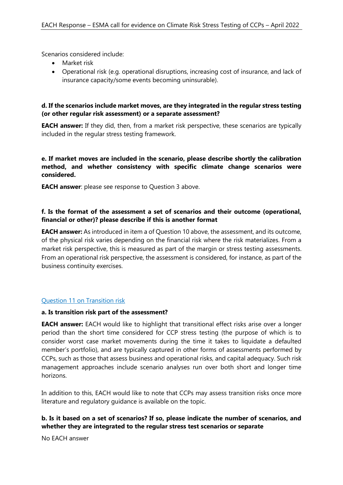Scenarios considered include:

- Market risk
- Operational risk (e.g. operational disruptions, increasing cost of insurance, and lack of insurance capacity/some events becoming uninsurable).

# **d. If the scenarios include market moves, are they integrated in the regular stress testing (or other regular risk assessment) or a separate assessment?**

**EACH answer:** If they did, then, from a market risk perspective, these scenarios are typically included in the regular stress testing framework.

**e. If market moves are included in the scenario, please describe shortly the calibration method, and whether consistency with specific climate change scenarios were considered.** 

**EACH answer:** please see response to Question 3 above.

# **f. Is the format of the assessment a set of scenarios and their outcome (operational, financial or other)? please describe if this is another format**

**EACH answer:** As introduced in item a of Question 10 above, the assessment, and its outcome, of the physical risk varies depending on the financial risk where the risk materializes. From a market risk perspective, this is measured as part of the margin or stress testing assessments. From an operational risk perspective, the assessment is considered, for instance, as part of the business continuity exercises.

# Question 11 on Transition risk

#### **a. Is transition risk part of the assessment?**

**EACH answer:** EACH would like to highlight that transitional effect risks arise over a longer period than the short time considered for CCP stress testing (the purpose of which is to consider worst case market movements during the time it takes to liquidate a defaulted member's portfolio), and are typically captured in other forms of assessments performed by CCPs, such as those that assess business and operational risks, and capital adequacy. Such risk management approaches include scenario analyses run over both short and longer time horizons.

In addition to this, EACH would like to note that CCPs may assess transition risks once more literature and regulatory guidance is available on the topic.

# **b. Is it based on a set of scenarios? If so, please indicate the number of scenarios, and whether they are integrated to the regular stress test scenarios or separate**

No EACH answer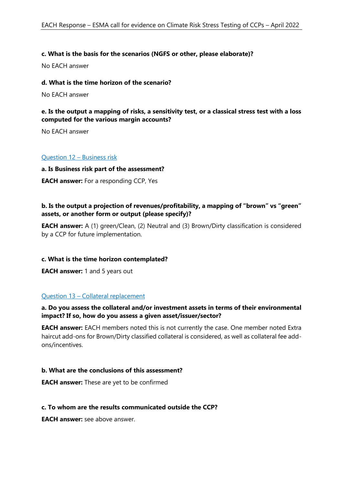#### **c. What is the basis for the scenarios (NGFS or other, please elaborate)?**

No EACH answer

#### **d. What is the time horizon of the scenario?**

No EACH answer

#### **e. Is the output a mapping of risks, a sensitivity test, or a classical stress test with a loss computed for the various margin accounts?**

No EACH answer

#### Question 12 – Business risk

#### **a. Is Business risk part of the assessment?**

**EACH answer:** For a responding CCP, Yes

# **b. Is the output a projection of revenues/profitability, a mapping of "brown" vs "green" assets, or another form or output (please specify)?**

**EACH answer:** A (1) green/Clean, (2) Neutral and (3) Brown/Dirty classification is considered by a CCP for future implementation.

#### **c. What is the time horizon contemplated?**

**EACH answer:** 1 and 5 years out

#### Question 13 – Collateral replacement

#### **a. Do you assess the collateral and/or investment assets in terms of their environmental impact? If so, how do you assess a given asset/issuer/sector?**

**EACH answer:** EACH members noted this is not currently the case. One member noted Extra haircut add-ons for Brown/Dirty classified collateral is considered, as well as collateral fee addons/incentives.

#### **b. What are the conclusions of this assessment?**

**EACH answer:** These are yet to be confirmed

#### **c. To whom are the results communicated outside the CCP?**

**EACH answer:** see above answer.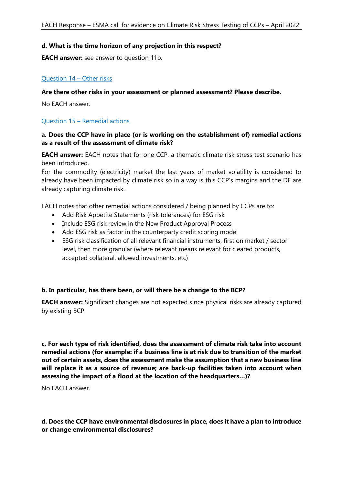#### **d. What is the time horizon of any projection in this respect?**

**EACH answer:** see answer to question 11b.

#### Question 14 – Other risks

#### **Are there other risks in your assessment or planned assessment? Please describe.**

No EACH answer.

#### Question 15 – Remedial actions

#### **a. Does the CCP have in place (or is working on the establishment of) remedial actions as a result of the assessment of climate risk?**

**EACH answer:** EACH notes that for one CCP, a thematic climate risk stress test scenario has been introduced.

For the commodity (electricity) market the last years of market volatility is considered to already have been impacted by climate risk so in a way is this CCP's margins and the DF are already capturing climate risk.

EACH notes that other remedial actions considered / being planned by CCPs are to:

- Add Risk Appetite Statements (risk tolerances) for ESG risk
- Include ESG risk review in the New Product Approval Process
- Add ESG risk as factor in the counterparty credit scoring model
- ESG risk classification of all relevant financial instruments, first on market / sector level, then more granular (where relevant means relevant for cleared products, accepted collateral, allowed investments, etc)

#### **b. In particular, has there been, or will there be a change to the BCP?**

**EACH answer:** Significant changes are not expected since physical risks are already captured by existing BCP.

**c. For each type of risk identified, does the assessment of climate risk take into account remedial actions (for example: if a business line is at risk due to transition of the market out of certain assets, does the assessment make the assumption that a new business line will replace it as a source of revenue; are back-up facilities taken into account when assessing the impact of a flood at the location of the headquarters…)?** 

No EACH answer.

#### **d. Does the CCP have environmental disclosures in place, does it have a plan to introduce or change environmental disclosures?**